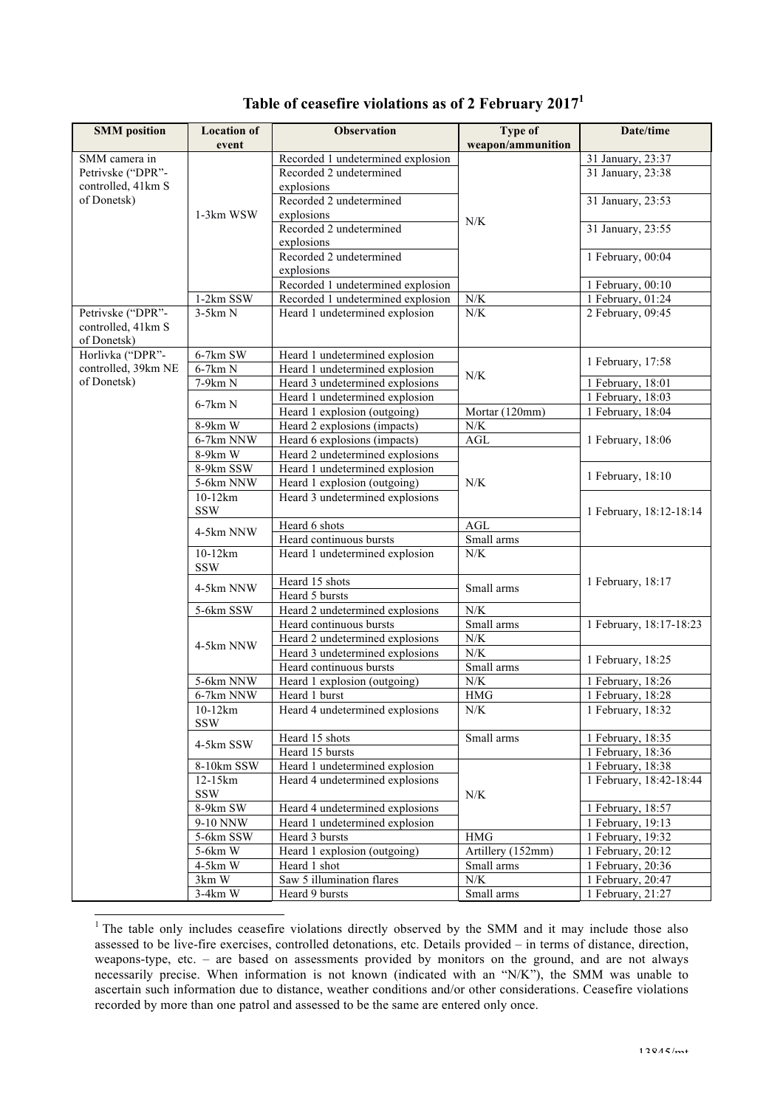| <b>SMM</b> position | <b>Location of</b>      | <b>Observation</b>                | Type of              | Date/time               |
|---------------------|-------------------------|-----------------------------------|----------------------|-------------------------|
|                     | event                   |                                   | weapon/ammunition    |                         |
| SMM camera in       |                         | Recorded 1 undetermined explosion |                      | 31 January, 23:37       |
| Petrivske ("DPR"-   |                         | Recorded 2 undetermined           |                      | 31 January, 23:38       |
| controlled, 41km S  |                         | explosions                        |                      |                         |
| of Donetsk)         |                         | Recorded 2 undetermined           |                      | 31 January, 23:53       |
|                     | 1-3km WSW               | explosions                        |                      |                         |
|                     |                         | Recorded 2 undetermined           | N/K                  | 31 January, 23:55       |
|                     |                         | explosions                        |                      |                         |
|                     |                         | Recorded 2 undetermined           |                      | 1 February, 00:04       |
|                     |                         | explosions                        |                      |                         |
|                     |                         | Recorded 1 undetermined explosion |                      | 1 February, 00:10       |
|                     | 1-2km SSW               | Recorded 1 undetermined explosion | ${\rm N/K}$          | 1 February, 01:24       |
| Petrivske ("DPR"-   | $3-5km N$               | Heard 1 undetermined explosion    | ${\rm N/K}$          | 2 February, 09:45       |
| controlled, 41km S  |                         |                                   |                      |                         |
| of Donetsk)         |                         |                                   |                      |                         |
| Horlivka ("DPR"-    | 6-7km SW                | Heard 1 undetermined explosion    |                      | 1 February, 17:58       |
| controlled, 39km NE | 6-7km N                 | Heard 1 undetermined explosion    | N/K                  |                         |
| of Donetsk)         | 7-9km N                 | Heard 3 undetermined explosions   |                      | 1 February, 18:01       |
|                     | $6-7km N$               | Heard 1 undetermined explosion    |                      | 1 February, 18:03       |
|                     |                         | Heard 1 explosion (outgoing)      | Mortar (120mm)       | 1 February, 18:04       |
|                     | 8-9km W                 | Heard 2 explosions (impacts)      | ${\rm N/K}$          |                         |
|                     | 6-7km NNW               | Heard 6 explosions (impacts)      | AGL                  | 1 February, 18:06       |
|                     | 8-9km W                 | Heard 2 undetermined explosions   |                      |                         |
|                     | 8-9km SSW               | Heard 1 undetermined explosion    |                      | 1 February, 18:10       |
|                     | 5-6km NNW               | Heard 1 explosion (outgoing)      | N/K                  |                         |
|                     | $10-12km$               | Heard 3 undetermined explosions   |                      |                         |
|                     | <b>SSW</b>              |                                   |                      | 1 February, 18:12-18:14 |
|                     | 4-5km NNW               | Heard 6 shots                     | AGL                  |                         |
|                     |                         | Heard continuous bursts           | Small arms           |                         |
|                     | $10-12km$<br><b>SSW</b> | Heard 1 undetermined explosion    | N/K                  |                         |
|                     |                         | Heard 15 shots                    |                      | 1 February, 18:17       |
|                     | 4-5km NNW               | Heard 5 bursts                    | Small arms           |                         |
|                     | 5-6km SSW               | Heard 2 undetermined explosions   | N/K                  |                         |
|                     |                         | Heard continuous bursts           | Small arms           | 1 February, 18:17-18:23 |
|                     | 4-5km NNW               | Heard 2 undetermined explosions   | ${\rm N/K}$          |                         |
|                     |                         | Heard 3 undetermined explosions   | N/K                  | 1 February, 18:25       |
|                     |                         | Heard continuous bursts           | Small arms           |                         |
|                     | 5-6km NNW               | Heard 1 explosion (outgoing)      | ${\rm N/K}$          | 1 February, 18:26       |
|                     | 6-7km NNW               | Heard 1 burst                     | $\operatorname{HMG}$ | 1 February, 18:28       |
|                     | 10-12km<br><b>SSW</b>   | Heard 4 undetermined explosions   | N/K                  | 1 February, 18:32       |
|                     |                         | Heard 15 shots                    | Small arms           | 1 February, 18:35       |
|                     | 4-5km SSW               | Heard 15 bursts                   |                      | 1 February, 18:36       |
|                     | 8-10km SSW              | Heard 1 undetermined explosion    |                      | 1 February, 18:38       |
|                     | 12-15km                 | Heard 4 undetermined explosions   |                      | 1 February, 18:42-18:44 |
|                     | SSW                     |                                   | N/K                  |                         |
|                     | 8-9km SW                | Heard 4 undetermined explosions   |                      | 1 February, $18:57$     |
|                     | 9-10 NNW                | Heard 1 undetermined explosion    |                      | $1$ February, 19:13     |
|                     | 5-6km SSW               | Heard 3 bursts                    | <b>HMG</b>           | 1 February, 19:32       |
|                     | 5-6km W                 | Heard 1 explosion (outgoing)      | Artillery (152mm)    | 1 February, 20:12       |
|                     | 4-5km W                 | Heard 1 shot                      | Small arms           | 1 February, 20:36       |
|                     | $3km$ W                 | Saw 5 illumination flares         | N/K                  | 1 February, 20:47       |
|                     | $3-4km$ W               | Heard 9 bursts                    | Small arms           | $1$ February, 21:27     |

## **Table of ceasefire violations as of 2 February 2017<sup>1</sup>**

<sup>&</sup>lt;sup>1</sup> The table only includes ceasefire violations directly observed by the SMM and it may include those also assessed to be live-fire exercises, controlled detonations, etc. Details provided – in terms of distance, direction, weapons-type, etc. – are based on assessments provided by monitors on the ground, and are not always necessarily precise. When information is not known (indicated with an "N/K"), the SMM was unable to ascertain such information due to distance, weather conditions and/or other considerations. Ceasefire violations recorded by more than one patrol and assessed to be the same are entered only once.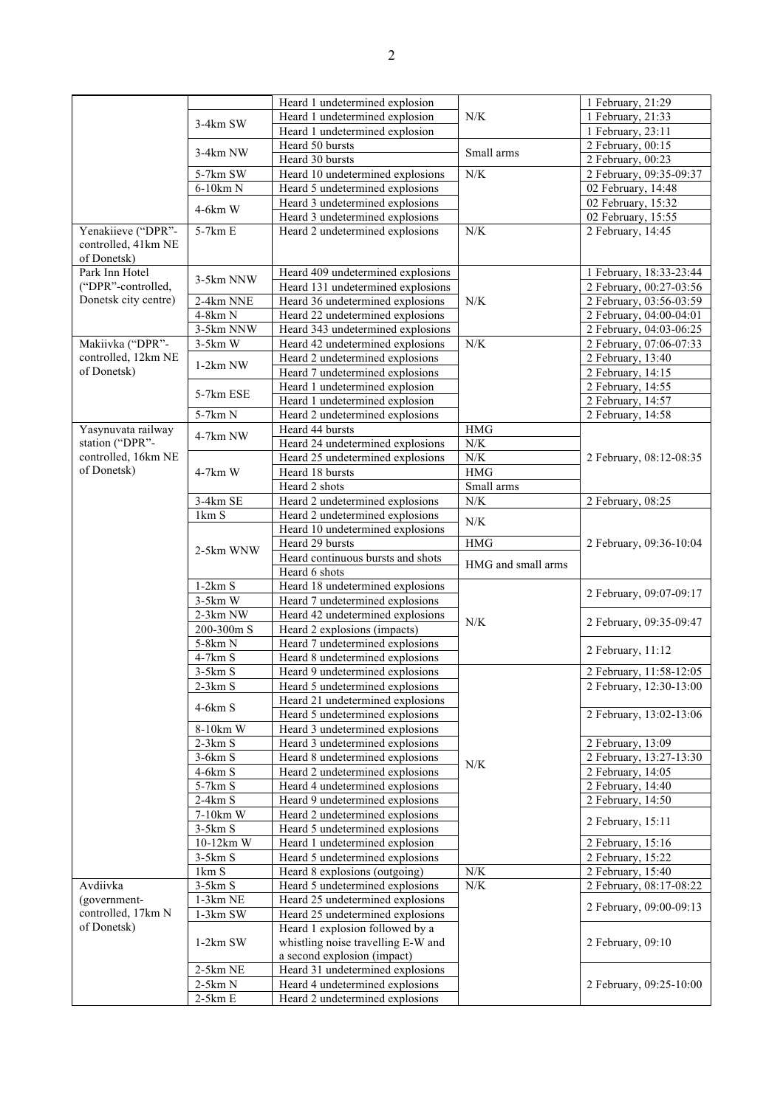|                      |                        | Heard 1 undetermined explosion                                     |                    | 1 February, 21:29                      |
|----------------------|------------------------|--------------------------------------------------------------------|--------------------|----------------------------------------|
|                      | 3-4km SW               | Heard 1 undetermined explosion                                     | N/K                | 1 February, 21:33                      |
|                      |                        | Heard 1 undetermined explosion                                     |                    | 1 February, 23:11                      |
|                      |                        | Heard 50 bursts                                                    |                    | 2 February, 00:15                      |
|                      | 3-4km NW               | Heard 30 bursts                                                    | Small arms         | 2 February, 00:23                      |
|                      | 5-7km SW               | Heard 10 undetermined explosions                                   | ${\rm N/K}$        | 2 February, 09:35-09:37                |
|                      | 6-10km N               | Heard 5 undetermined explosions                                    |                    | 02 February, 14:48                     |
|                      | $4-6km$ W              | Heard 3 undetermined explosions                                    |                    | 02 February, 15:32                     |
|                      |                        | Heard 3 undetermined explosions                                    |                    | $\overline{02}$ February, 15:55        |
| Yenakiieve ("DPR"-   | 5-7km E                | Heard 2 undetermined explosions                                    | ${\rm N/K}$        | 2 February, 14:45                      |
| controlled, 41km NE  |                        |                                                                    |                    |                                        |
| of Donetsk)          |                        |                                                                    |                    |                                        |
| Park Inn Hotel       | 3-5km NNW              | Heard 409 undetermined explosions                                  |                    | 1 February, 18:33-23:44                |
| ("DPR"-controlled,   |                        | Heard 131 undetermined explosions                                  |                    | 2 February, 00:27-03:56                |
| Donetsk city centre) | 2-4km NNE              | Heard 36 undetermined explosions                                   | N/K                | 2 February, 03:56-03:59                |
|                      | 4-8km N                | Heard 22 undetermined explosions                                   |                    | 2 February, 04:00-04:01                |
|                      | 3-5km NNW              | Heard 343 undetermined explosions                                  |                    | 2 February, 04:03-06:25                |
| Makiivka ("DPR"-     | $3-5km$ W              | Heard 42 undetermined explosions                                   | ${\rm N/K}$        | 2 February, 07:06-07:33                |
| controlled, 12km NE  | $1-2km$ NW             | Heard 2 undetermined explosions                                    |                    | 2 February, 13:40                      |
| of Donetsk)          |                        | Heard 7 undetermined explosions                                    |                    | 2 February, 14:15                      |
|                      | 5-7km ESE              | Heard 1 undetermined explosion                                     |                    | 2 February, 14:55                      |
|                      |                        | Heard 1 undetermined explosion                                     |                    | 2 February, 14:57                      |
|                      | 5-7km N                | Heard 2 undetermined explosions                                    |                    | 2 February, 14:58                      |
| Yasynuvata railway   | 4-7km NW               | Heard 44 bursts                                                    | <b>HMG</b>         |                                        |
| station ("DPR"-      |                        | Heard 24 undetermined explosions                                   | $N\!/\!K$          |                                        |
| controlled, 16km NE  |                        | Heard 25 undetermined explosions                                   | N/K                | 2 February, 08:12-08:35                |
| of Donetsk)          | 4-7km W                | Heard 18 bursts                                                    | HMG                |                                        |
|                      |                        | Heard 2 shots                                                      | Small arms         |                                        |
|                      | 3-4km SE               | Heard 2 undetermined explosions                                    | ${\rm N/K}$        | 2 February, 08:25                      |
|                      | 1km S                  | Heard 2 undetermined explosions                                    | N/K                |                                        |
|                      |                        | Heard 10 undetermined explosions                                   |                    |                                        |
|                      | 2-5km WNW              | Heard 29 bursts                                                    | HMG                | 2 February, 09:36-10:04                |
|                      |                        |                                                                    |                    |                                        |
|                      |                        | Heard continuous bursts and shots                                  | HMG and small arms |                                        |
|                      |                        | Heard 6 shots                                                      |                    |                                        |
|                      | $1-2km S$              | Heard 18 undetermined explosions                                   |                    | 2 February, 09:07-09:17                |
|                      | $3-5km$ W              | Heard 7 undetermined explosions                                    |                    |                                        |
|                      | 2-3km NW               | Heard 42 undetermined explosions                                   | N/K                | 2 February, 09:35-09:47                |
|                      | 200-300m S             | Heard 2 explosions (impacts)                                       |                    |                                        |
|                      | 5-8km N                | Heard 7 undetermined explosions                                    |                    | 2 February, 11:12                      |
|                      | 4-7km S                | Heard 8 undetermined explosions                                    |                    |                                        |
|                      | $3-5km S$              | Heard 9 undetermined explosions                                    |                    | 2 February, 11:58-12:05                |
|                      | $2-3km S$              | Heard 5 undetermined explosions                                    |                    | 2 February, 12:30-13:00                |
|                      | $4-6km S$              | Heard 21 undetermined explosions                                   |                    |                                        |
|                      |                        | Heard 5 undetermined explosions                                    |                    | 2 February, 13:02-13:06                |
|                      | 8-10km W               | Heard 3 undetermined explosions                                    |                    |                                        |
|                      | $2-3km S$              | Heard 3 undetermined explosions                                    |                    | 2 February, 13:09                      |
|                      | $3-6km S$              | Heard 8 undetermined explosions                                    | N/K                | 2 February, 13:27-13:30                |
|                      | 4-6km S<br>5-7km S     | Heard 2 undetermined explosions                                    |                    | 2 February, 14:05                      |
|                      | $2-4km S$              | Heard 4 undetermined explosions                                    |                    | 2 February, 14:40                      |
|                      | 7-10km W               | Heard 9 undetermined explosions<br>Heard 2 undetermined explosions |                    | $2$ February, 14:50                    |
|                      | $3-5km S$              | Heard 5 undetermined explosions                                    |                    | 2 February, 15:11                      |
|                      | 10-12km W              | Heard 1 undetermined explosion                                     |                    |                                        |
|                      | $3-5km S$              | Heard 5 undetermined explosions                                    |                    | 2 February, 15:16<br>2 February, 15:22 |
|                      | 1km S                  | Heard 8 explosions (outgoing)                                      | ${\rm N/K}$        | 2 February, 15:40                      |
| Avdiivka             | $3-5km S$              | Heard 5 undetermined explosions                                    | N/K                | 2 February, 08:17-08:22                |
| (government-         | $1-3km$ NE             | Heard 25 undetermined explosions                                   |                    |                                        |
| controlled, 17km N   | $1-3km$ SW             | Heard 25 undetermined explosions                                   |                    | 2 February, 09:00-09:13                |
| of Donetsk)          |                        | Heard 1 explosion followed by a                                    |                    |                                        |
|                      | $1-2km$ SW             | whistling noise travelling E-W and                                 |                    | 2 February, 09:10                      |
|                      |                        | a second explosion (impact)                                        |                    |                                        |
|                      | $2-5km$ NE             | Heard 31 undetermined explosions                                   |                    |                                        |
|                      | $2-5km N$<br>$2-5km E$ | Heard 4 undetermined explosions<br>Heard 2 undetermined explosions |                    | 2 February, 09:25-10:00                |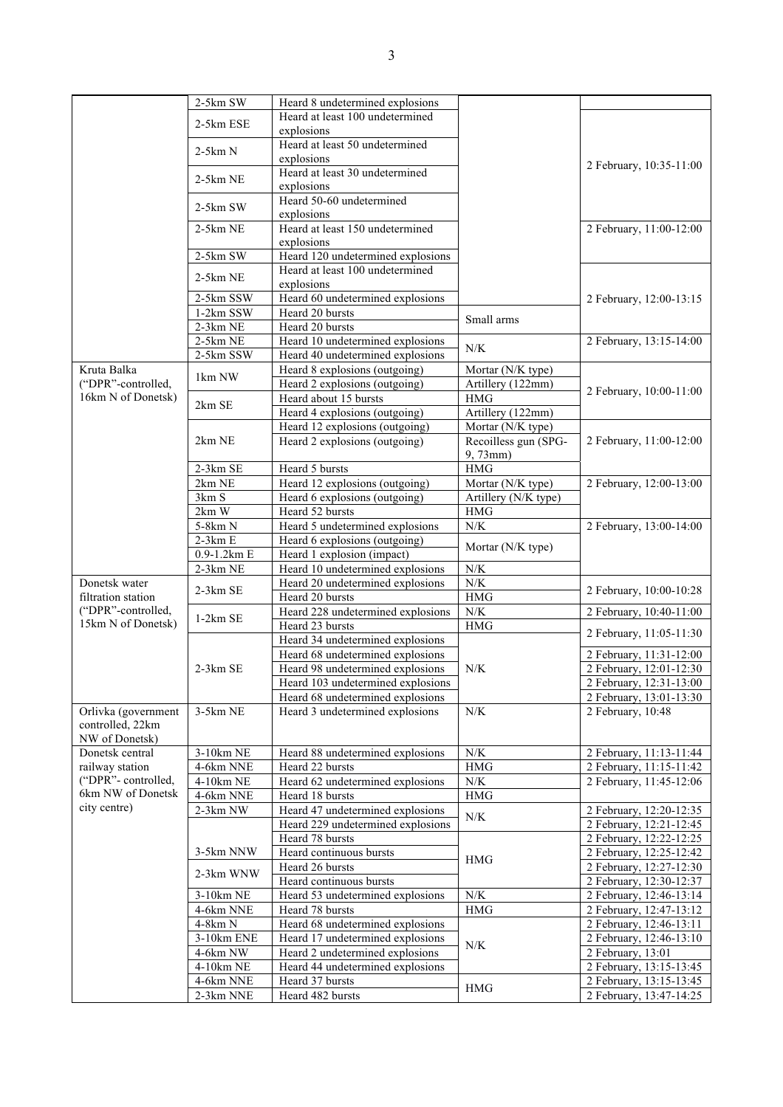|                     | 2-5km SW    | Heard 8 undetermined explosions   |                      |                         |
|---------------------|-------------|-----------------------------------|----------------------|-------------------------|
|                     |             | Heard at least 100 undetermined   |                      |                         |
|                     | 2-5km ESE   | explosions                        |                      |                         |
|                     |             | Heard at least 50 undetermined    |                      |                         |
|                     | $2-5km N$   | explosions                        |                      |                         |
|                     |             | Heard at least 30 undetermined    |                      | 2 February, 10:35-11:00 |
|                     | 2-5km NE    | explosions                        |                      |                         |
|                     |             | Heard 50-60 undetermined          |                      |                         |
|                     | 2-5km SW    | explosions                        |                      |                         |
|                     | $2-5km$ NE  | Heard at least 150 undetermined   |                      | 2 February, 11:00-12:00 |
|                     |             | explosions                        |                      |                         |
|                     | $2-5km$ SW  | Heard 120 undetermined explosions |                      |                         |
|                     | 2-5km NE    | Heard at least 100 undetermined   |                      |                         |
|                     |             | explosions                        |                      |                         |
|                     | 2-5km SSW   | Heard 60 undetermined explosions  |                      | 2 February, 12:00-13:15 |
|                     | 1-2km SSW   | Heard 20 bursts                   | Small arms           |                         |
|                     | 2-3km NE    | Heard 20 bursts                   |                      |                         |
|                     | 2-5km NE    | Heard 10 undetermined explosions  | N/K                  | 2 February, 13:15-14:00 |
|                     | 2-5km SSW   | Heard 40 undetermined explosions  |                      |                         |
| Kruta Balka         | 1km NW      | Heard 8 explosions (outgoing)     | Mortar (N/K type)    |                         |
| ("DPR"-controlled,  |             | Heard 2 explosions (outgoing)     | Artillery (122mm)    | 2 February, 10:00-11:00 |
| 16km N of Donetsk)  | 2km SE      | Heard about 15 bursts             | <b>HMG</b>           |                         |
|                     |             | Heard 4 explosions (outgoing)     | Artillery (122mm)    |                         |
|                     |             | Heard 12 explosions (outgoing)    | Mortar (N/K type)    |                         |
|                     | 2km NE      | Heard 2 explosions (outgoing)     | Recoilless gun (SPG- | 2 February, 11:00-12:00 |
|                     |             |                                   | 9,73mm)              |                         |
|                     | 2-3km SE    | Heard 5 bursts                    | HMG                  |                         |
|                     | 2km NE      | Heard 12 explosions (outgoing)    | Mortar (N/K type)    | 2 February, 12:00-13:00 |
|                     | 3km S       | Heard 6 explosions (outgoing)     | Artillery (N/K type) |                         |
|                     | 2km W       | Heard 52 bursts                   | <b>HMG</b>           |                         |
|                     | 5-8km N     | Heard 5 undetermined explosions   | ${\rm N/K}$          | 2 February, 13:00-14:00 |
|                     | $2-3km E$   | Heard 6 explosions (outgoing)     | Mortar (N/K type)    |                         |
|                     | 0.9-1.2km E | Heard 1 explosion (impact)        |                      |                         |
|                     | 2-3km NE    | Heard 10 undetermined explosions  | ${\rm N/K}$          |                         |
| Donetsk water       | $2-3km$ SE  | Heard 20 undetermined explosions  | ${\rm N/K}$          | 2 February, 10:00-10:28 |
| filtration station  |             | Heard 20 bursts                   | $\rm{HMG}$           |                         |
| ("DPR"-controlled,  | $1-2km$ SE  | Heard 228 undetermined explosions | ${\rm N/K}$          | 2 February, 10:40-11:00 |
| 15km N of Donetsk)  |             | Heard 23 bursts                   | <b>HMG</b>           | 2 February, 11:05-11:30 |
|                     |             | Heard 34 undetermined explosions  |                      |                         |
|                     |             | Heard 68 undetermined explosions  |                      | 2 February, 11:31-12:00 |
|                     | $2-3km$ SE  | Heard 98 undetermined explosions  | N/K                  | 2 February, 12:01-12:30 |
|                     |             | Heard 103 undetermined explosions |                      | 2 February, 12:31-13:00 |
|                     |             | Heard 68 undetermined explosions  |                      | 2 February, 13:01-13:30 |
| Orlivka (government | 3-5km NE    | Heard 3 undetermined explosions   | ${\rm N/K}$          | 2 February, 10:48       |
| controlled, 22km    |             |                                   |                      |                         |
| NW of Donetsk)      |             |                                   |                      |                         |
| Donetsk central     | 3-10km NE   | Heard 88 undetermined explosions  | N/K                  | 2 February, 11:13-11:44 |
| railway station     | 4-6km NNE   | Heard 22 bursts                   | <b>HMG</b>           | 2 February, 11:15-11:42 |
| ("DPR"-controlled,  | 4-10km NE   | Heard 62 undetermined explosions  | N/K                  | 2 February, 11:45-12:06 |
| 6km NW of Donetsk   | 4-6km NNE   | Heard 18 bursts                   | $\rm HMG$            |                         |
| city centre)        | 2-3km NW    | Heard 47 undetermined explosions  | N/K                  | 2 February, 12:20-12:35 |
|                     |             | Heard 229 undetermined explosions |                      | 2 February, 12:21-12:45 |
|                     |             | Heard 78 bursts                   |                      | 2 February, 12:22-12:25 |
|                     | 3-5km NNW   | Heard continuous bursts           | <b>HMG</b>           | 2 February, 12:25-12:42 |
|                     | 2-3km WNW   | Heard 26 bursts                   |                      | 2 February, 12:27-12:30 |
|                     |             | Heard continuous bursts           |                      | 2 February, 12:30-12:37 |
|                     | 3-10km NE   | Heard 53 undetermined explosions  | ${\rm N/K}$          | 2 February, 12:46-13:14 |
|                     | 4-6km NNE   | Heard 78 bursts                   | <b>HMG</b>           | 2 February, 12:47-13:12 |
|                     | 4-8km N     | Heard 68 undetermined explosions  |                      | 2 February, 12:46-13:11 |
|                     | 3-10km ENE  | Heard 17 undetermined explosions  | ${\rm N/K}$          | 2 February, 12:46-13:10 |
|                     | 4-6km NW    | Heard 2 undetermined explosions   |                      | 2 February, 13:01       |
|                     | 4-10km NE   | Heard 44 undetermined explosions  |                      | 2 February, 13:15-13:45 |
|                     | 4-6km NNE   | Heard 37 bursts                   | <b>HMG</b>           | 2 February, 13:15-13:45 |
|                     | 2-3km NNE   | Heard 482 bursts                  |                      | 2 February, 13:47-14:25 |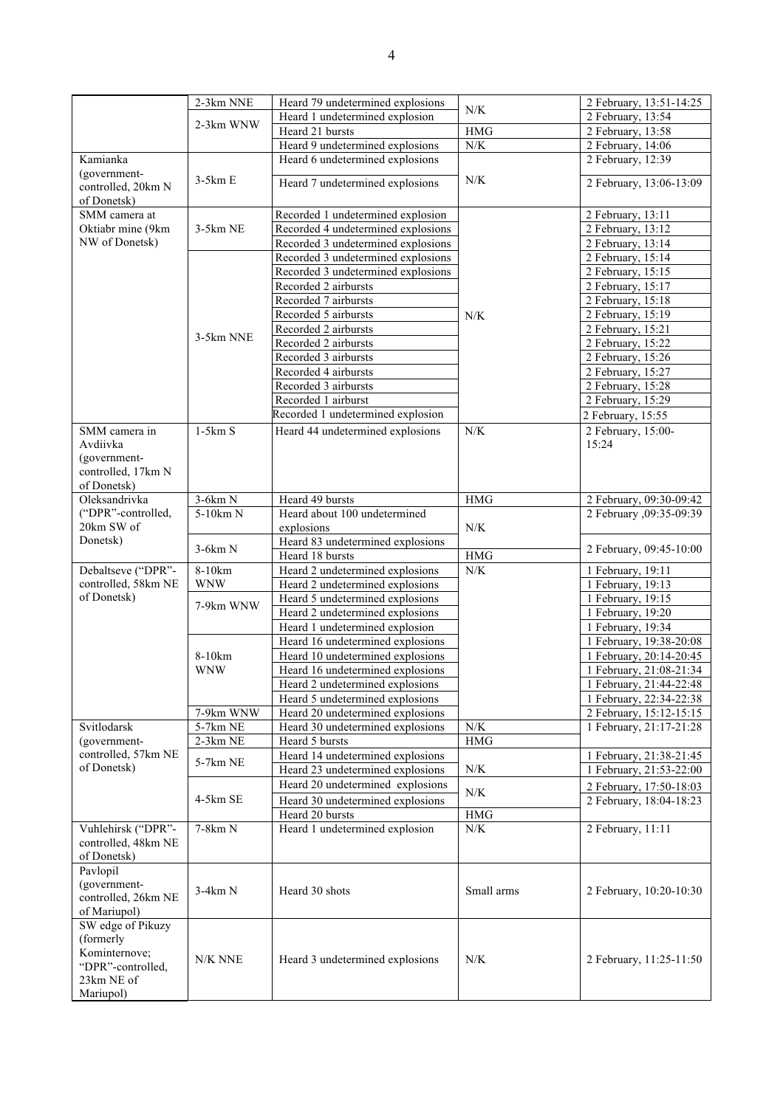|                                   | 2-3km NNE  | Heard 79 undetermined explosions   | N/K         | 2 February, 13:51-14:25  |
|-----------------------------------|------------|------------------------------------|-------------|--------------------------|
|                                   | 2-3km WNW  | Heard 1 undetermined explosion     |             | 2 February, 13:54        |
|                                   |            | Heard 21 bursts                    | <b>HMG</b>  | 2 February, 13:58        |
|                                   |            | Heard 9 undetermined explosions    | ${\rm N/K}$ | 2 February, 14:06        |
| Kamianka                          |            | Heard 6 undetermined explosions    |             | 2 February, 12:39        |
| (government-                      | $3-5km E$  |                                    | N/K         |                          |
| controlled, 20km N<br>of Donetsk) |            | Heard 7 undetermined explosions    |             | 2 February, 13:06-13:09  |
| SMM camera at                     |            | Recorded 1 undetermined explosion  |             | 2 February, 13:11        |
| Oktiabr mine (9km                 | $3-5km$ NE | Recorded 4 undetermined explosions |             | 2 February, 13:12        |
| NW of Donetsk)                    |            | Recorded 3 undetermined explosions |             | 2 February, 13:14        |
|                                   |            | Recorded 3 undetermined explosions |             | 2 February, 15:14        |
|                                   |            | Recorded 3 undetermined explosions |             | 2 February, 15:15        |
|                                   |            | Recorded 2 airbursts               |             | 2 February, 15:17        |
|                                   |            | Recorded 7 airbursts               |             | 2 February, 15:18        |
|                                   |            | Recorded 5 airbursts               | N/K         | 2 February, 15:19        |
|                                   |            | Recorded 2 airbursts               |             | 2 February, 15:21        |
|                                   | 3-5km NNE  | Recorded 2 airbursts               |             | 2 February, 15:22        |
|                                   |            | Recorded 3 airbursts               |             | 2 February, 15:26        |
|                                   |            | Recorded 4 airbursts               |             | 2 February, 15:27        |
|                                   |            | Recorded 3 airbursts               |             | 2 February, 15:28        |
|                                   |            | Recorded 1 airburst                |             | 2 February, 15:29        |
|                                   |            | Recorded 1 undetermined explosion  |             | 2 February, 15:55        |
| SMM camera in                     | $1-5km S$  | Heard 44 undetermined explosions   | N/K         | 2 February, 15:00-       |
| Avdiivka                          |            |                                    |             | 15:24                    |
| (government-                      |            |                                    |             |                          |
| controlled, 17km N                |            |                                    |             |                          |
| of Donetsk)                       |            |                                    |             |                          |
| Oleksandrivka                     | $3-6km N$  | Heard 49 bursts                    | <b>HMG</b>  | 2 February, 09:30-09:42  |
| ("DPR"-controlled,                | 5-10km N   | Heard about 100 undetermined       |             | 2 February , 09:35-09:39 |
| 20km SW of                        |            | explosions                         | N/K         |                          |
| Donetsk)                          |            | Heard 83 undetermined explosions   |             |                          |
|                                   | $3-6km N$  | Heard 18 bursts                    | $\rm HMG$   | 2 February, 09:45-10:00  |
| Debaltseve ("DPR"-                | 8-10km     | Heard 2 undetermined explosions    | N/K         | 1 February, 19:11        |
| controlled, 58km NE               | <b>WNW</b> | Heard 2 undetermined explosions    |             | 1 February, 19:13        |
| of Donetsk)                       |            | Heard 5 undetermined explosions    |             | 1 February, 19:15        |
|                                   | 7-9km WNW  | Heard 2 undetermined explosions    |             | 1 February, 19:20        |
|                                   |            | Heard 1 undetermined explosion     |             | 1 February, 19:34        |
|                                   |            | Heard 16 undetermined explosions   |             | 1 February, 19:38-20:08  |
|                                   | 8-10km     | Heard 10 undetermined explosions   |             | 1 February, 20:14-20:45  |
|                                   | <b>WNW</b> | Heard 16 undetermined explosions   |             | 1 February, 21:08-21:34  |
|                                   |            | Heard 2 undetermined explosions    |             | 1 February, 21:44-22:48  |
|                                   |            | Heard 5 undetermined explosions    |             | 1 February, 22:34-22:38  |
|                                   | 7-9km WNW  | Heard 20 undetermined explosions   |             | 2 February, 15:12-15:15  |
| Svitlodarsk                       | 5-7km NE   | Heard 30 undetermined explosions   | $N/K$       | 1 February, 21:17-21:28  |
| (government-                      | $2-3km$ NE | Heard 5 bursts                     | <b>HMG</b>  |                          |
| controlled, 57km NE               |            | Heard 14 undetermined explosions   |             | 1 February, 21:38-21:45  |
| of Donetsk)                       | 5-7km NE   | Heard 23 undetermined explosions   | ${\rm N/K}$ | 1 February, 21:53-22:00  |
|                                   |            | Heard 20 undetermined explosions   |             |                          |
|                                   | 4-5km SE   |                                    | $N\!/\!K$   | 2 February, 17:50-18:03  |
|                                   |            | Heard 30 undetermined explosions   |             | 2 February, 18:04-18:23  |
|                                   |            | Heard 20 bursts                    | <b>HMG</b>  |                          |
| Vuhlehirsk ("DPR"-                | 7-8km N    | Heard 1 undetermined explosion     | ${\rm N/K}$ | 2 February, 11:11        |
| controlled, 48km NE               |            |                                    |             |                          |
| of Donetsk)                       |            |                                    |             |                          |
| Pavlopil                          |            |                                    |             |                          |
| (government-                      | $3-4km N$  | Heard 30 shots                     | Small arms  | 2 February, 10:20-10:30  |
| controlled, 26km NE               |            |                                    |             |                          |
| of Mariupol)                      |            |                                    |             |                          |
| SW edge of Pikuzy                 |            |                                    |             |                          |
| (formerly                         |            |                                    |             |                          |
| Kominternove;                     | N/K NNE    | Heard 3 undetermined explosions    | N/K         | 2 February, 11:25-11:50  |
| "DPR"-controlled,                 |            |                                    |             |                          |
| 23km NE of                        |            |                                    |             |                          |
| Mariupol)                         |            |                                    |             |                          |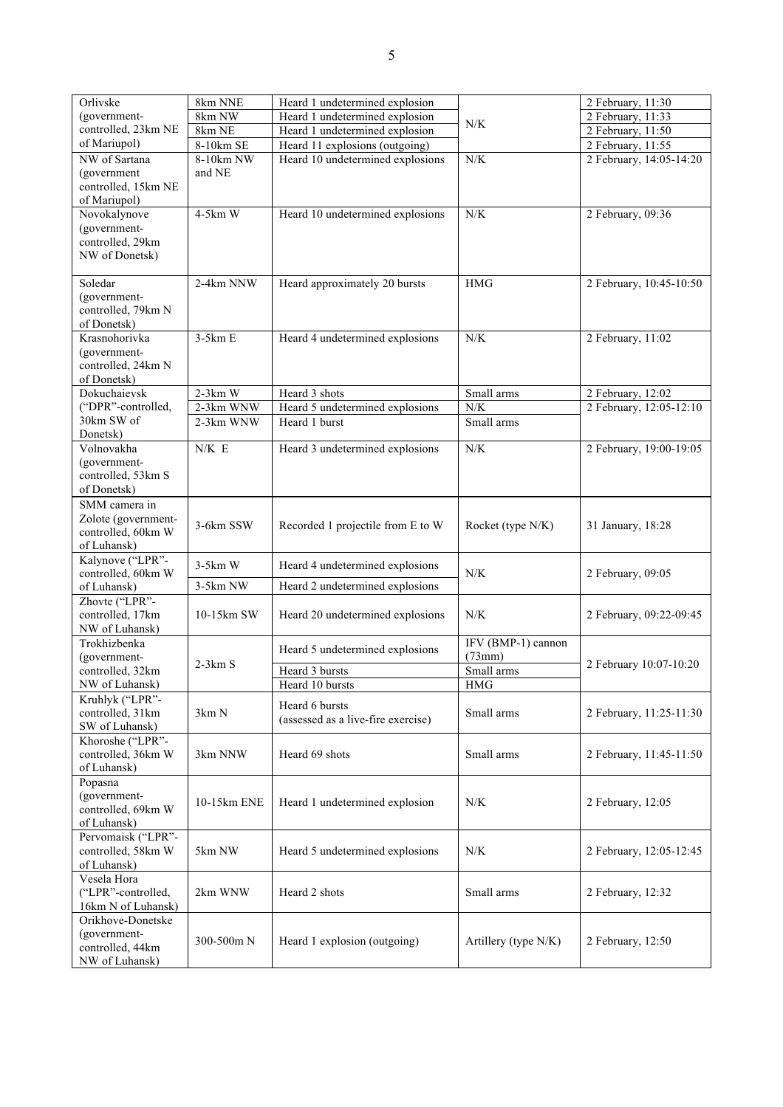| Orlivske                                 | 8km NNE     | Heard 1 undetermined explosion     |                              | 2 February, 11:30       |
|------------------------------------------|-------------|------------------------------------|------------------------------|-------------------------|
| (government-                             | 8km NW      | Heard 1 undetermined explosion     | N/K                          | 2 February, 11:33       |
| controlled, 23km NE                      | 8km NE      | Heard 1 undetermined explosion     |                              | 2 February, 11:50       |
| of Mariupol)                             | 8-10km SE   | Heard 11 explosions (outgoing)     |                              | 2 February, 11:55       |
| NW of Sartana                            | 8-10km NW   | Heard 10 undetermined explosions   | N/K                          | 2 February, 14:05-14:20 |
| (government                              | and NE      |                                    |                              |                         |
| controlled, 15km NE                      |             |                                    |                              |                         |
| of Mariupol)<br>Novokalynove             | 4-5km W     | Heard 10 undetermined explosions   | N/K                          | 2 February, 09:36       |
| (government-                             |             |                                    |                              |                         |
| controlled, 29km                         |             |                                    |                              |                         |
| NW of Donetsk)                           |             |                                    |                              |                         |
|                                          |             |                                    |                              |                         |
| Soledar                                  | 2-4km NNW   | Heard approximately 20 bursts      | <b>HMG</b>                   | 2 February, 10:45-10:50 |
| (government-                             |             |                                    |                              |                         |
| controlled, 79km N                       |             |                                    |                              |                         |
| of Donetsk)                              |             |                                    |                              |                         |
| Krasnohorivka                            | $3-5km E$   | Heard 4 undetermined explosions    | N/K                          | 2 February, 11:02       |
| (government-                             |             |                                    |                              |                         |
| controlled, 24km N                       |             |                                    |                              |                         |
| of Donetsk)                              |             |                                    |                              |                         |
| Dokuchaievsk                             | $2-3km$ W   | Heard 3 shots                      | Small arms                   | 2 February, 12:02       |
| ("DPR"-controlled,                       | $2-3km$ WNW | Heard 5 undetermined explosions    | N/K                          | 2 February, 12:05-12:10 |
| 30km SW of                               | 2-3km WNW   | Heard 1 burst                      | Small arms                   |                         |
| Donetsk)<br>Volnovakha                   | N/K E       | Heard 3 undetermined explosions    | N/K                          | 2 February, 19:00-19:05 |
| (government-                             |             |                                    |                              |                         |
| controlled, 53km S                       |             |                                    |                              |                         |
| of Donetsk)                              |             |                                    |                              |                         |
| SMM camera in                            |             |                                    |                              |                         |
| Zolote (government-                      |             |                                    |                              |                         |
| controlled, 60km W                       | 3-6km SSW   | Recorded 1 projectile from E to W  | Rocket (type N/K)            | 31 January, 18:28       |
| of Luhansk)                              |             |                                    |                              |                         |
| Kalynove ("LPR"-                         | $3-5km$ W   | Heard 4 undetermined explosions    |                              |                         |
| controlled, 60km W                       |             |                                    | N/K                          | 2 February, 09:05       |
| of Luhansk)                              | 3-5km NW    | Heard 2 undetermined explosions    |                              |                         |
| Zhovte ("LPR"-                           |             |                                    |                              |                         |
| controlled, 17km                         | 10-15km SW  | Heard 20 undetermined explosions   | N/K                          | 2 February, 09:22-09:45 |
| NW of Luhansk)                           |             |                                    |                              |                         |
| Trokhizbenka<br>(government-             |             | Heard 5 undetermined explosions    | IFV (BMP-1) cannon<br>(73mm) |                         |
| controlled, 32km                         | $2-3km S$   | Heard 3 bursts                     | Small arms                   | 2 February 10:07-10:20  |
| NW of Luhansk)                           |             | Heard 10 bursts                    | HMG                          |                         |
| Kruhlyk ("LPR"-                          |             |                                    |                              |                         |
| controlled, 31km                         | 3km N       | Heard 6 bursts                     | Small arms                   | 2 February, 11:25-11:30 |
| SW of Luhansk)                           |             | (assessed as a live-fire exercise) |                              |                         |
| Khoroshe ("LPR"-                         |             |                                    |                              |                         |
| controlled, 36km W                       | 3km NNW     | Heard 69 shots                     | Small arms                   | 2 February, 11:45-11:50 |
| of Luhansk)                              |             |                                    |                              |                         |
| Popasna                                  |             |                                    |                              |                         |
| (government-                             | 10-15km ENE | Heard 1 undetermined explosion     | N/K                          | 2 February, 12:05       |
| controlled, 69km W                       |             |                                    |                              |                         |
| of Luhansk)                              |             |                                    |                              |                         |
| Pervomaisk ("LPR"-<br>controlled, 58km W | 5km NW      | Heard 5 undetermined explosions    | N/K                          |                         |
| of Luhansk)                              |             |                                    |                              | 2 February, 12:05-12:45 |
| Vesela Hora                              |             |                                    |                              |                         |
| ("LPR"-controlled,                       | 2km WNW     | Heard 2 shots                      | Small arms                   | 2 February, 12:32       |
| 16km N of Luhansk)                       |             |                                    |                              |                         |
| Orikhove-Donetske                        |             |                                    |                              |                         |
| (government-                             |             |                                    |                              |                         |
| controlled, 44km                         | 300-500m N  | Heard 1 explosion (outgoing)       | Artillery (type N/K)         | 2 February, 12:50       |
| NW of Luhansk)                           |             |                                    |                              |                         |